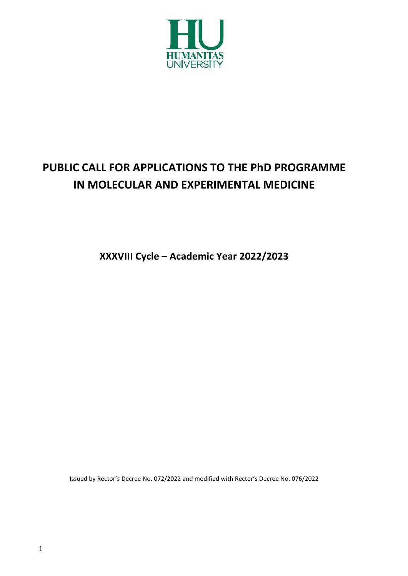

# **PUBLIC CALL FOR APPLICATIONS TO THE PhD PROGRAMME IN MOLECULAR AND EXPERIMENTAL MEDICINE**

**XXXVIII Cycle – Academic Year 2022/2023**

Issued by Rector's Decree No. 072/2022 and modified with Rector's Decree No. 076/2022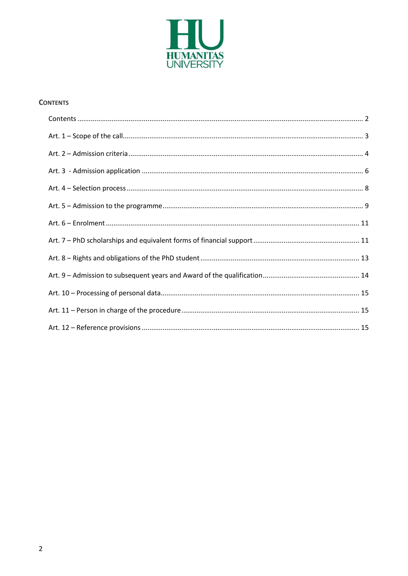

#### <span id="page-1-0"></span>**CONTENTS**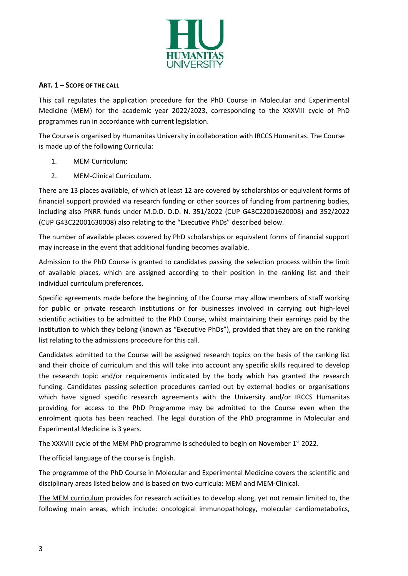

#### <span id="page-2-0"></span>**ART. 1 – SCOPE OF THE CALL**

This call regulates the application procedure for the PhD Course in Molecular and Experimental Medicine (MEM) for the academic year 2022/2023, corresponding to the XXXVIII cycle of PhD programmes run in accordance with current legislation.

The Course is organised by Humanitas University in collaboration with IRCCS Humanitas. The Course is made up of the following Curricula:

- 1. MEM Curriculum;
- 2. MEM-Clinical Curriculum.

There are 13 places available, of which at least 12 are covered by scholarships or equivalent forms of financial support provided via research funding or other sources of funding from partnering bodies, including also PNRR funds under M.D.D. D.D. N. 351/2022 (CUP G43C22001620008) and 352/2022 (CUP G43C22001630008) also relating to the "Executive PhDs" described below.

The number of available places covered by PhD scholarships or equivalent forms of financial support may increase in the event that additional funding becomes available.

Admission to the PhD Course is granted to candidates passing the selection process within the limit of available places, which are assigned according to their position in the ranking list and their individual curriculum preferences.

Specific agreements made before the beginning of the Course may allow members of staff working for public or private research institutions or for businesses involved in carrying out high-level scientific activities to be admitted to the PhD Course, whilst maintaining their earnings paid by the institution to which they belong (known as "Executive PhDs"), provided that they are on the ranking list relating to the admissions procedure for this call.

Candidates admitted to the Course will be assigned research topics on the basis of the ranking list and their choice of curriculum and this will take into account any specific skills required to develop the research topic and/or requirements indicated by the body which has granted the research funding. Candidates passing selection procedures carried out by external bodies or organisations which have signed specific research agreements with the University and/or IRCCS Humanitas providing for access to the PhD Programme may be admitted to the Course even when the enrolment quota has been reached. The legal duration of the PhD programme in Molecular and Experimental Medicine is 3 years.

The XXXVIII cycle of the MEM PhD programme is scheduled to begin on November 1<sup>st</sup> 2022.

The official language of the course is English.

The programme of the PhD Course in Molecular and Experimental Medicine covers the scientific and disciplinary areas listed below and is based on two curricula: MEM and MEM-Clinical.

The MEM curriculum provides for research activities to develop along, yet not remain limited to, the following main areas, which include: oncological immunopathology, molecular cardiometabolics,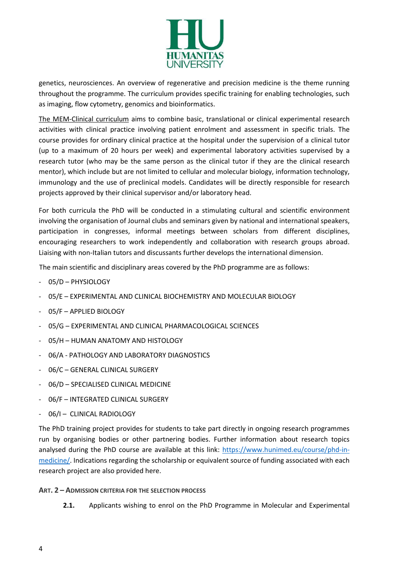

genetics, neurosciences. An overview of regenerative and precision medicine is the theme running throughout the programme. The curriculum provides specific training for enabling technologies, such as imaging, flow cytometry, genomics and bioinformatics.

The MEM-Clinical curriculum aims to combine basic, translational or clinical experimental research activities with clinical practice involving patient enrolment and assessment in specific trials. The course provides for ordinary clinical practice at the hospital under the supervision of a clinical tutor (up to a maximum of 20 hours per week) and experimental laboratory activities supervised by a research tutor (who may be the same person as the clinical tutor if they are the clinical research mentor), which include but are not limited to cellular and molecular biology, information technology, immunology and the use of preclinical models. Candidates will be directly responsible for research projects approved by their clinical supervisor and/or laboratory head.

For both curricula the PhD will be conducted in a stimulating cultural and scientific environment involving the organisation of Journal clubs and seminars given by national and international speakers, participation in congresses, informal meetings between scholars from different disciplines, encouraging researchers to work independently and collaboration with research groups abroad. Liaising with non-Italian tutors and discussants further develops the international dimension.

The main scientific and disciplinary areas covered by the PhD programme are as follows:

- 05/D PHYSIOLOGY
- 05/E EXPERIMENTAL AND CLINICAL BIOCHEMISTRY AND MOLECULAR BIOLOGY
- 05/F APPLIED BIOLOGY
- 05/G EXPERIMENTAL AND CLINICAL PHARMACOLOGICAL SCIENCES
- 05/H HUMAN ANATOMY AND HISTOLOGY
- 06/A PATHOLOGY AND LABORATORY DIAGNOSTICS
- 06/C GENERAL CLINICAL SURGERY
- 06/D SPECIALISED CLINICAL MEDICINE
- 06/F INTEGRATED CLINICAL SURGERY
- 06/I CLINICAL RADIOLOGY

The PhD training project provides for students to take part directly in ongoing research programmes run by organising bodies or other partnering bodies. Further information about research topics analysed during the PhD course are available at this link: [https://www.hunimed.eu/course/phd-in](https://www.hunimed.eu/course/phd-in-medicine/)[medicine/.](https://www.hunimed.eu/course/phd-in-medicine/) Indications regarding the scholarship or equivalent source of funding associated with each research project are also provided here.

#### <span id="page-3-0"></span>**ART. 2 – ADMISSION CRITERIA FOR THE SELECTION PROCESS**

**2.1.** Applicants wishing to enrol on the PhD Programme in Molecular and Experimental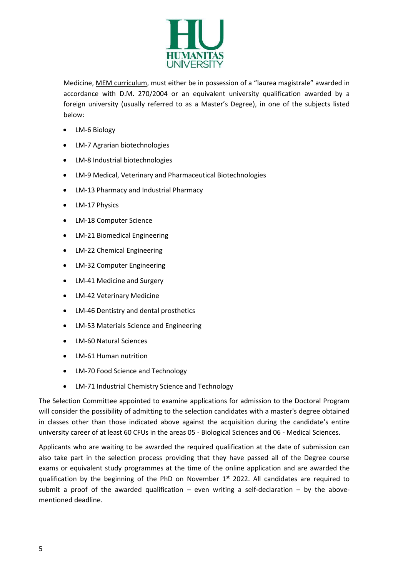

Medicine, MEM curriculum, must either be in possession of a "laurea magistrale" awarded in accordance with D.M. 270/2004 or an equivalent university qualification awarded by a foreign university (usually referred to as a Master's Degree), in one of the subjects listed below:

- LM-6 Biology
- LM-7 Agrarian biotechnologies
- LM-8 Industrial biotechnologies
- LM-9 Medical, Veterinary and Pharmaceutical Biotechnologies
- LM-13 Pharmacy and Industrial Pharmacy
- LM-17 Physics
- LM-18 Computer Science
- LM-21 Biomedical Engineering
- LM-22 Chemical Engineering
- LM-32 Computer Engineering
- LM-41 Medicine and Surgery
- LM-42 Veterinary Medicine
- LM-46 Dentistry and dental prosthetics
- LM-53 Materials Science and Engineering
- LM-60 Natural Sciences
- LM-61 Human nutrition
- LM-70 Food Science and Technology
- LM-71 Industrial Chemistry Science and Technology

The Selection Committee appointed to examine applications for admission to the Doctoral Program will consider the possibility of admitting to the selection candidates with a master's degree obtained in classes other than those indicated above against the acquisition during the candidate's entire university career of at least 60 CFUs in the areas 05 - Biological Sciences and 06 - Medical Sciences.

Applicants who are waiting to be awarded the required qualification at the date of submission can also take part in the selection process providing that they have passed all of the Degree course exams or equivalent study programmes at the time of the online application and are awarded the qualification by the beginning of the PhD on November  $1<sup>st</sup>$  2022. All candidates are required to submit a proof of the awarded qualification – even writing a self-declaration – by the abovementioned deadline.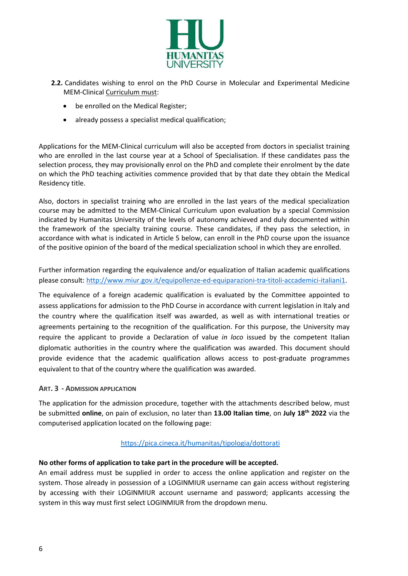

- **2.2.** Candidates wishing to enrol on the PhD Course in Molecular and Experimental Medicine MEM-Clinical Curriculum must:
	- be enrolled on the Medical Register:
	- already possess a specialist medical qualification;

Applications for the MEM-Clinical curriculum will also be accepted from doctors in specialist training who are enrolled in the last course year at a School of Specialisation. If these candidates pass the selection process, they may provisionally enrol on the PhD and complete their enrolment by the date on which the PhD teaching activities commence provided that by that date they obtain the Medical Residency title.

Also, doctors in specialist training who are enrolled in the last years of the medical specialization course may be admitted to the MEM-Clinical Curriculum upon evaluation by a special Commission indicated by Humanitas University of the levels of autonomy achieved and duly documented within the framework of the specialty training course. These candidates, if they pass the selection, in accordance with what is indicated in Article 5 below, can enroll in the PhD course upon the issuance of the positive opinion of the board of the medical specialization school in which they are enrolled.

Further information regarding the equivalence and/or equalization of Italian academic qualifications please consult: [http://www.miur.gov.it/equipollenze-ed-equiparazioni-tra-titoli-accademici-italiani1.](http://www.miur.gov.it/equipollenze-ed-equiparazioni-tra-titoli-accademici-italiani1)

The equivalence of a foreign academic qualification is evaluated by the Committee appointed to assess applications for admission to the PhD Course in accordance with current legislation in Italy and the country where the qualification itself was awarded, as well as with international treaties or agreements pertaining to the recognition of the qualification. For this purpose, the University may require the applicant to provide a Declaration of value *in loco* issued by the competent Italian diplomatic authorities in the country where the qualification was awarded. This document should provide evidence that the academic qualification allows access to post-graduate programmes equivalent to that of the country where the qualification was awarded.

#### <span id="page-5-0"></span>**ART. 3 - ADMISSION APPLICATION**

The application for the admission procedure, together with the attachments described below, must be submitted **online**, on pain of exclusion, no later than **13.00 Italian time**, on **July 18th 2022** via the computerised application located on the following page:

# <https://pica.cineca.it/humanitas/tipologia/dottorati>

# **No other forms of application to take part in the procedure will be accepted.**

An email address must be supplied in order to access the online application and register on the system. Those already in possession of a LOGINMIUR username can gain access without registering by accessing with their LOGINMIUR account username and password; applicants accessing the system in this way must first select LOGINMIUR from the dropdown menu.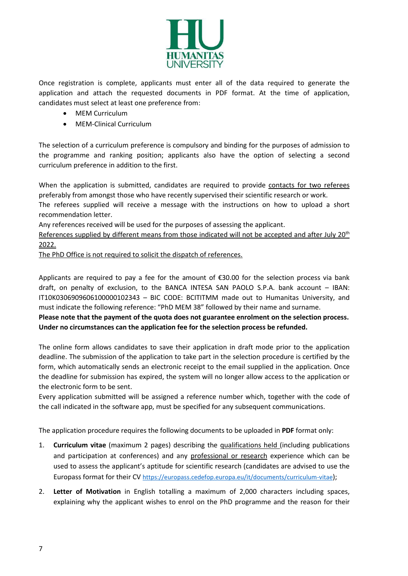

Once registration is complete, applicants must enter all of the data required to generate the application and attach the requested documents in PDF format. At the time of application, candidates must select at least one preference from:

- MEM Curriculum
- MEM-Clinical Curriculum

The selection of a curriculum preference is compulsory and binding for the purposes of admission to the programme and ranking position; applicants also have the option of selecting a second curriculum preference in addition to the first.

When the application is submitted, candidates are required to provide contacts for two referees preferably from amongst those who have recently supervised their scientific research or work.

The referees supplied will receive a message with the instructions on how to upload a short recommendation letter.

Any references received will be used for the purposes of assessing the applicant.

References supplied by different means from those indicated will not be accepted and after July 20<sup>th</sup> 2022.

The PhD Office is not required to solicit the dispatch of references.

Applicants are required to pay a fee for the amount of €30.00 for the selection process via bank draft, on penalty of exclusion, to the BANCA INTESA SAN PAOLO S.P.A. bank account – IBAN: IT10K0306909606100000102343 – BIC CODE: BCITITMM made out to Humanitas University, and must indicate the following reference: "PhD MEM 38" followed by their name and surname.

**Please note that the payment of the quota does not guarantee enrolment on the selection process. Under no circumstances can the application fee for the selection process be refunded.** 

The online form allows candidates to save their application in draft mode prior to the application deadline. The submission of the application to take part in the selection procedure is certified by the form, which automatically sends an electronic receipt to the email supplied in the application. Once the deadline for submission has expired, the system will no longer allow access to the application or the electronic form to be sent.

Every application submitted will be assigned a reference number which, together with the code of the call indicated in the software app, must be specified for any subsequent communications.

The application procedure requires the following documents to be uploaded in **PDF** format only:

- 1. **Curriculum vitae** (maximum 2 pages) describing the qualifications held (including publications and participation at conferences) and any professional or research experience which can be used to assess the applicant's aptitude for scientific research (candidates are advised to use the Europass format for their CV <https://europass.cedefop.europa.eu/it/documents/curriculum-vitae>);
- 2. **Letter of Motivation** in English totalling a maximum of 2,000 characters including spaces, explaining why the applicant wishes to enrol on the PhD programme and the reason for their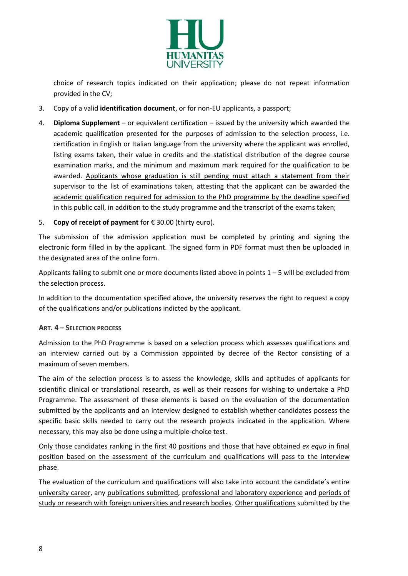

choice of research topics indicated on their application; please do not repeat information provided in the CV;

- 3. Copy of a valid **identification document**, or for non-EU applicants, a passport;
- 4. **Diploma Supplement**  or equivalent certification issued by the university which awarded the academic qualification presented for the purposes of admission to the selection process, i.e. certification in English or Italian language from the university where the applicant was enrolled, listing exams taken, their value in credits and the statistical distribution of the degree course examination marks, and the minimum and maximum mark required for the qualification to be awarded. Applicants whose graduation is still pending must attach a statement from their supervisor to the list of examinations taken, attesting that the applicant can be awarded the academic qualification required for admission to the PhD programme by the deadline specified in this public call, in addition to the study programme and the transcript of the exams taken;
- 5. **Copy of receipt of payment** for € 30.00 (thirty euro).

The submission of the admission application must be completed by printing and signing the electronic form filled in by the applicant. The signed form in PDF format must then be uploaded in the designated area of the online form.

Applicants failing to submit one or more documents listed above in points  $1 - 5$  will be excluded from the selection process.

In addition to the documentation specified above, the university reserves the right to request a copy of the qualifications and/or publications indicted by the applicant.

# <span id="page-7-0"></span>**ART. 4 – SELECTION PROCESS**

Admission to the PhD Programme is based on a selection process which assesses qualifications and an interview carried out by a Commission appointed by decree of the Rector consisting of a maximum of seven members.

The aim of the selection process is to assess the knowledge, skills and aptitudes of applicants for scientific clinical or translational research, as well as their reasons for wishing to undertake a PhD Programme. The assessment of these elements is based on the evaluation of the documentation submitted by the applicants and an interview designed to establish whether candidates possess the specific basic skills needed to carry out the research projects indicated in the application. Where necessary, this may also be done using a multiple-choice test.

Only those candidates ranking in the first 40 positions and those that have obtained *ex equo* in final position based on the assessment of the curriculum and qualifications will pass to the interview phase.

The evaluation of the curriculum and qualifications will also take into account the candidate's entire university career, any publications submitted, professional and laboratory experience and periods of study or research with foreign universities and research bodies. Other qualifications submitted by the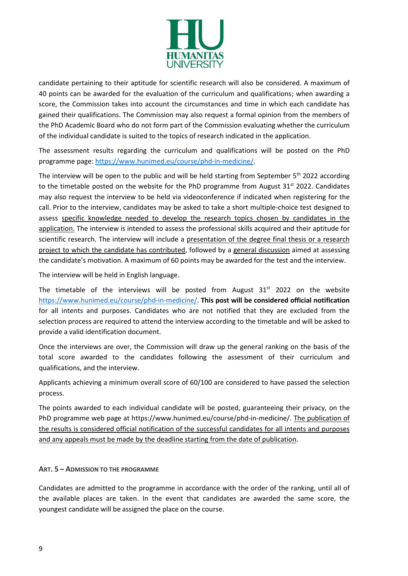

candidate pertaining to their aptitude for scientific research will also be considered. A maximum of 40 points can be awarded for the evaluation of the curriculum and qualifications; when awarding a score, the Commission takes into account the circumstances and time in which each candidate has gained their qualifications. The Commission may also request a formal opinion from the members of the PhD Academic Board who do not form part of the Commission evaluating whether the curriculum of the individual candidate is suited to the topics of research indicated in the application.

The assessment results regarding the curriculum and qualifications will be posted on the PhD programme page: [https://www.hunimed.eu/course/phd-in-medicine/.](https://www.hunimed.eu/course/phd-in-medicine/)

The interview will be open to the public and will be held starting from September 5<sup>th</sup> 2022 according to the timetable posted on the website for the PhD programme from August  $31<sup>st</sup> 2022$ . Candidates may also request the interview to be held via videoconference if indicated when registering for the call. Prior to the interview, candidates may be asked to take a short multiple-choice test designed to assess specific knowledge needed to develop the research topics chosen by candidates in the application. The interview is intended to assess the professional skills acquired and their aptitude for scientific research. The interview will include a presentation of the degree final thesis or a research project to which the candidate has contributed, followed by a general discussion aimed at assessing the candidate's motivation. A maximum of 60 points may be awarded for the test and the interview.

The interview will be held in English language.

The timetable of the interviews will be posted from August  $31<sup>st</sup>$  2022 on the website [https://www.hunimed.eu/course/phd-in-medicine/.](https://www.hunimed.eu/course/phd-in-medicine/) **This post will be considered official notification**  for all intents and purposes. Candidates who are not notified that they are excluded from the selection process are required to attend the interview according to the timetable and will be asked to provide a valid identification document.

Once the interviews are over, the Commission will draw up the general ranking on the basis of the total score awarded to the candidates following the assessment of their curriculum and qualifications, and the interview.

Applicants achieving a minimum overall score of 60/100 are considered to have passed the selection process.

The points awarded to each individual candidate will be posted, guaranteeing their privacy, on the PhD programme web page at https://www.hunimed.eu/course/phd-in-medicine/. The publication of the results is considered official notification of the successful candidates for all intents and purposes and any appeals must be made by the deadline starting from the date of publication.

# <span id="page-8-0"></span>**ART. 5 – ADMISSION TO THE PROGRAMME**

Candidates are admitted to the programme in accordance with the order of the ranking, until all of the available places are taken. In the event that candidates are awarded the same score, the youngest candidate will be assigned the place on the course.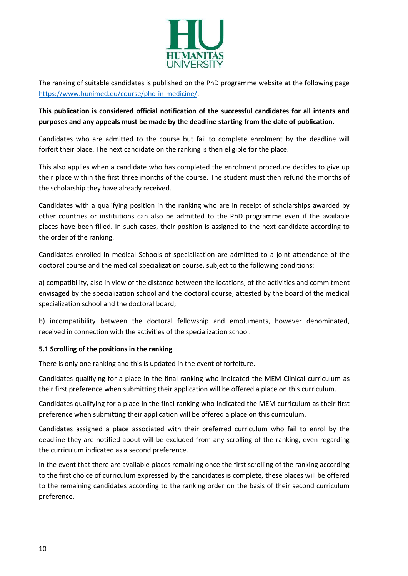

The ranking of suitable candidates is published on the PhD programme website at the following page [https://www.hunimed.eu/course/phd-in-medicine/.](https://www.hunimed.eu/course/phd-in-medicine/)

# **This publication is considered official notification of the successful candidates for all intents and purposes and any appeals must be made by the deadline starting from the date of publication.**

Candidates who are admitted to the course but fail to complete enrolment by the deadline will forfeit their place. The next candidate on the ranking is then eligible for the place.

This also applies when a candidate who has completed the enrolment procedure decides to give up their place within the first three months of the course. The student must then refund the months of the scholarship they have already received.

Candidates with a qualifying position in the ranking who are in receipt of scholarships awarded by other countries or institutions can also be admitted to the PhD programme even if the available places have been filled. In such cases, their position is assigned to the next candidate according to the order of the ranking.

Candidates enrolled in medical Schools of specialization are admitted to a joint attendance of the doctoral course and the medical specialization course, subject to the following conditions:

a) compatibility, also in view of the distance between the locations, of the activities and commitment envisaged by the specialization school and the doctoral course, attested by the board of the medical specialization school and the doctoral board;

b) incompatibility between the doctoral fellowship and emoluments, however denominated, received in connection with the activities of the specialization school.

# **5.1 Scrolling of the positions in the ranking**

There is only one ranking and this is updated in the event of forfeiture.

Candidates qualifying for a place in the final ranking who indicated the MEM-Clinical curriculum as their first preference when submitting their application will be offered a place on this curriculum.

Candidates qualifying for a place in the final ranking who indicated the MEM curriculum as their first preference when submitting their application will be offered a place on this curriculum.

Candidates assigned a place associated with their preferred curriculum who fail to enrol by the deadline they are notified about will be excluded from any scrolling of the ranking, even regarding the curriculum indicated as a second preference.

In the event that there are available places remaining once the first scrolling of the ranking according to the first choice of curriculum expressed by the candidates is complete, these places will be offered to the remaining candidates according to the ranking order on the basis of their second curriculum preference.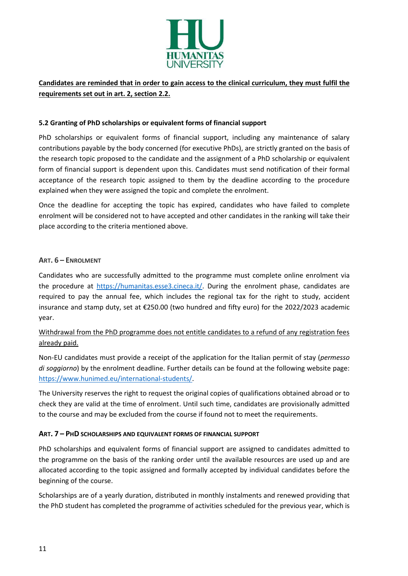

# **Candidates are reminded that in order to gain access to the clinical curriculum, they must fulfil the requirements set out in art. 2, section 2.2.**

#### **5.2 Granting of PhD scholarships or equivalent forms of financial support**

PhD scholarships or equivalent forms of financial support, including any maintenance of salary contributions payable by the body concerned (for executive PhDs), are strictly granted on the basis of the research topic proposed to the candidate and the assignment of a PhD scholarship or equivalent form of financial support is dependent upon this. Candidates must send notification of their formal acceptance of the research topic assigned to them by the deadline according to the procedure explained when they were assigned the topic and complete the enrolment.

Once the deadline for accepting the topic has expired, candidates who have failed to complete enrolment will be considered not to have accepted and other candidates in the ranking will take their place according to the criteria mentioned above.

#### <span id="page-10-0"></span>**ART. 6 – ENROLMENT**

Candidates who are successfully admitted to the programme must complete online enrolment via the procedure at [https://humanitas.esse3.cineca.it/.](https://humanitas.esse3.cineca.it/) During the enrolment phase, candidates are required to pay the annual fee, which includes the regional tax for the right to study, accident insurance and stamp duty, set at €250.00 (two hundred and fifty euro) for the 2022/2023 academic year.

# Withdrawal from the PhD programme does not entitle candidates to a refund of any registration fees already paid.

Non-EU candidates must provide a receipt of the application for the Italian permit of stay (*permesso di soggiorno*) by the enrolment deadline. Further details can be found at the following website page: [https://www.hunimed.eu/international-students/.](https://www.hunimed.eu/international-students/)

The University reserves the right to request the original copies of qualifications obtained abroad or to check they are valid at the time of enrolment. Until such time, candidates are provisionally admitted to the course and may be excluded from the course if found not to meet the requirements.

# <span id="page-10-1"></span>**ART. 7 – PHD SCHOLARSHIPS AND EQUIVALENT FORMS OF FINANCIAL SUPPORT**

PhD scholarships and equivalent forms of financial support are assigned to candidates admitted to the programme on the basis of the ranking order until the available resources are used up and are allocated according to the topic assigned and formally accepted by individual candidates before the beginning of the course.

Scholarships are of a yearly duration, distributed in monthly instalments and renewed providing that the PhD student has completed the programme of activities scheduled for the previous year, which is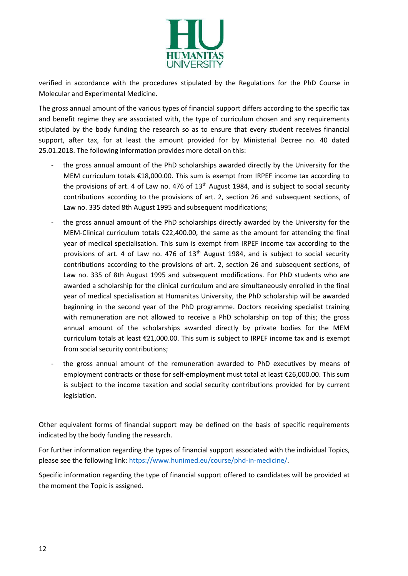

verified in accordance with the procedures stipulated by the Regulations for the PhD Course in Molecular and Experimental Medicine.

The gross annual amount of the various types of financial support differs according to the specific tax and benefit regime they are associated with, the type of curriculum chosen and any requirements stipulated by the body funding the research so as to ensure that every student receives financial support, after tax, for at least the amount provided for by Ministerial Decree no. 40 dated 25.01.2018. The following information provides more detail on this:

- the gross annual amount of the PhD scholarships awarded directly by the University for the MEM curriculum totals €18,000.00. This sum is exempt from IRPEF income tax according to the provisions of art. 4 of Law no. 476 of  $13<sup>th</sup>$  August 1984, and is subject to social security contributions according to the provisions of art. 2, section 26 and subsequent sections, of Law no. 335 dated 8th August 1995 and subsequent modifications;
- the gross annual amount of the PhD scholarships directly awarded by the University for the MEM-Clinical curriculum totals €22,400.00, the same as the amount for attending the final year of medical specialisation. This sum is exempt from IRPEF income tax according to the provisions of art. 4 of Law no. 476 of  $13<sup>th</sup>$  August 1984, and is subject to social security contributions according to the provisions of art. 2, section 26 and subsequent sections, of Law no. 335 of 8th August 1995 and subsequent modifications. For PhD students who are awarded a scholarship for the clinical curriculum and are simultaneously enrolled in the final year of medical specialisation at Humanitas University, the PhD scholarship will be awarded beginning in the second year of the PhD programme. Doctors receiving specialist training with remuneration are not allowed to receive a PhD scholarship on top of this; the gross annual amount of the scholarships awarded directly by private bodies for the MEM curriculum totals at least €21,000.00. This sum is subject to IRPEF income tax and is exempt from social security contributions;
- the gross annual amount of the remuneration awarded to PhD executives by means of employment contracts or those for self-employment must total at least €26,000.00. This sum is subject to the income taxation and social security contributions provided for by current legislation.

Other equivalent forms of financial support may be defined on the basis of specific requirements indicated by the body funding the research.

For further information regarding the types of financial support associated with the individual Topics, please see the following link: [https://www.hunimed.eu/course/phd-in-medicine/.](https://www.hunimed.eu/course/phd-in-medicine/)

Specific information regarding the type of financial support offered to candidates will be provided at the moment the Topic is assigned.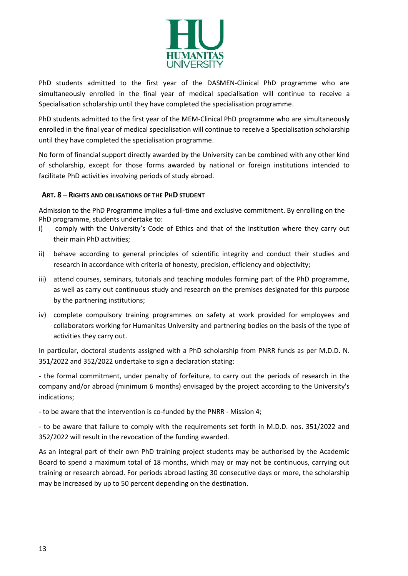

PhD students admitted to the first year of the DASMEN-Clinical PhD programme who are simultaneously enrolled in the final year of medical specialisation will continue to receive a Specialisation scholarship until they have completed the specialisation programme.

PhD students admitted to the first year of the MEM-Clinical PhD programme who are simultaneously enrolled in the final year of medical specialisation will continue to receive a Specialisation scholarship until they have completed the specialisation programme.

No form of financial support directly awarded by the University can be combined with any other kind of scholarship, except for those forms awarded by national or foreign institutions intended to facilitate PhD activities involving periods of study abroad.

# <span id="page-12-0"></span> **ART. 8 – RIGHTS AND OBLIGATIONS OF THE PHD STUDENT**

Admission to the PhD Programme implies a full-time and exclusive commitment. By enrolling on the PhD programme, students undertake to:

- i) comply with the University's Code of Ethics and that of the institution where they carry out their main PhD activities;
- ii) behave according to general principles of scientific integrity and conduct their studies and research in accordance with criteria of honesty, precision, efficiency and objectivity;
- iii) attend courses, seminars, tutorials and teaching modules forming part of the PhD programme, as well as carry out continuous study and research on the premises designated for this purpose by the partnering institutions;
- iv) complete compulsory training programmes on safety at work provided for employees and collaborators working for Humanitas University and partnering bodies on the basis of the type of activities they carry out.

In particular, doctoral students assigned with a PhD scholarship from PNRR funds as per M.D.D. N. 351/2022 and 352/2022 undertake to sign a declaration stating:

- the formal commitment, under penalty of forfeiture, to carry out the periods of research in the company and/or abroad (minimum 6 months) envisaged by the project according to the University's indications;

- to be aware that the intervention is co-funded by the PNRR - Mission 4;

- to be aware that failure to comply with the requirements set forth in M.D.D. nos. 351/2022 and 352/2022 will result in the revocation of the funding awarded.

As an integral part of their own PhD training project students may be authorised by the Academic Board to spend a maximum total of 18 months, which may or may not be continuous, carrying out training or research abroad. For periods abroad lasting 30 consecutive days or more, the scholarship may be increased by up to 50 percent depending on the destination.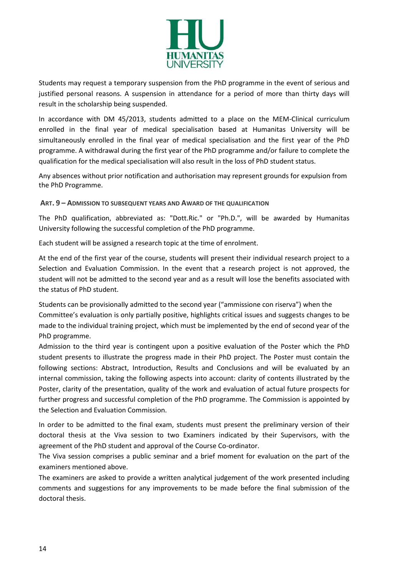

Students may request a temporary suspension from the PhD programme in the event of serious and justified personal reasons. A suspension in attendance for a period of more than thirty days will result in the scholarship being suspended.

In accordance with DM 45/2013, students admitted to a place on the MEM-Clinical curriculum enrolled in the final year of medical specialisation based at Humanitas University will be simultaneously enrolled in the final year of medical specialisation and the first year of the PhD programme. A withdrawal during the first year of the PhD programme and/or failure to complete the qualification for the medical specialisation will also result in the loss of PhD student status.

<span id="page-13-0"></span>Any absences without prior notification and authorisation may represent grounds for expulsion from the PhD Programme.

#### **ART. 9 – ADMISSION TO SUBSEQUENT YEARS AND AWARD OF THE QUALIFICATION**

The PhD qualification, abbreviated as: "Dott.Ric." or "Ph.D.", will be awarded by Humanitas University following the successful completion of the PhD programme.

Each student will be assigned a research topic at the time of enrolment.

At the end of the first year of the course, students will present their individual research project to a Selection and Evaluation Commission. In the event that a research project is not approved, the student will not be admitted to the second year and as a result will lose the benefits associated with the status of PhD student.

Students can be provisionally admitted to the second year ("ammissione con riserva") when the Committee's evaluation is only partially positive, highlights critical issues and suggests changes to be made to the individual training project, which must be implemented by the end of second year of the PhD programme.

Admission to the third year is contingent upon a positive evaluation of the Poster which the PhD student presents to illustrate the progress made in their PhD project. The Poster must contain the following sections: Abstract, Introduction, Results and Conclusions and will be evaluated by an internal commission, taking the following aspects into account: clarity of contents illustrated by the Poster, clarity of the presentation, quality of the work and evaluation of actual future prospects for further progress and successful completion of the PhD programme. The Commission is appointed by the Selection and Evaluation Commission.

In order to be admitted to the final exam, students must present the preliminary version of their doctoral thesis at the Viva session to two Examiners indicated by their Supervisors, with the agreement of the PhD student and approval of the Course Co-ordinator.

The Viva session comprises a public seminar and a brief moment for evaluation on the part of the examiners mentioned above.

The examiners are asked to provide a written analytical judgement of the work presented including comments and suggestions for any improvements to be made before the final submission of the doctoral thesis.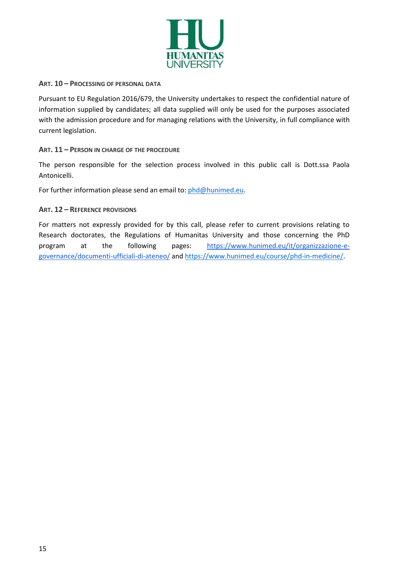

#### <span id="page-14-0"></span>**ART. 10 – PROCESSING OF PERSONAL DATA**

Pursuant to EU Regulation 2016/679, the University undertakes to respect the confidential nature of information supplied by candidates; all data supplied will only be used for the purposes associated with the admission procedure and for managing relations with the University, in full compliance with current legislation.

#### <span id="page-14-1"></span>**ART. 11 – PERSON IN CHARGE OF THE PROCEDURE**

The person responsible for the selection process involved in this public call is Dott.ssa Paola Antonicelli.

For further information please send an email to: phd@hunimed.eu.

#### <span id="page-14-2"></span>**ART. 12 – REFERENCE PROVISIONS**

For matters not expressly provided for by this call, please refer to current provisions relating to Research doctorates, the Regulations of Humanitas University and those concerning the PhD program at the following pages: https://www.hunimed.eu/it/organizzazione-egovernance/documenti-ufficiali-di-ateneo/ and https://www.hunimed.eu/course/phd-in-medicine/.